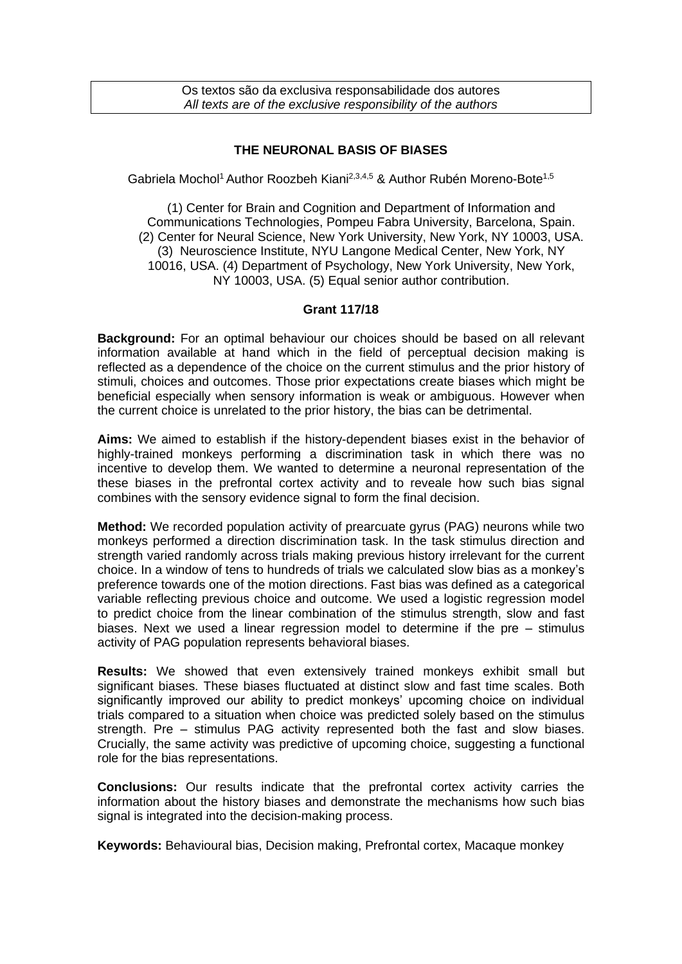Os textos são da exclusiva responsabilidade dos autores *All texts are of the exclusive responsibility of the authors*

## **THE NEURONAL BASIS OF BIASES**

Gabriela Mochol<sup>1</sup> Author Roozbeh Kiani<sup>2,3,4,5</sup> & Author Rubén Moreno-Bote<sup>1,5</sup>

(1) Center for Brain and Cognition and Department of Information and Communications Technologies, Pompeu Fabra University, Barcelona, Spain. (2) Center for Neural Science, New York University, New York, NY 10003, USA. (3) Neuroscience Institute, NYU Langone Medical Center, New York, NY 10016, USA. (4) Department of Psychology, New York University, New York, NY 10003, USA. (5) Equal senior author contribution.

## **Grant 117/18**

**Background:** For an optimal behaviour our choices should be based on all relevant information available at hand which in the field of perceptual decision making is reflected as a dependence of the choice on the current stimulus and the prior history of stimuli, choices and outcomes. Those prior expectations create biases which might be beneficial especially when sensory information is weak or ambiguous. However when the current choice is unrelated to the prior history, the bias can be detrimental.

**Aims:** We aimed to establish if the history-dependent biases exist in the behavior of highly-trained monkeys performing a discrimination task in which there was no incentive to develop them. We wanted to determine a neuronal representation of the these biases in the prefrontal cortex activity and to reveale how such bias signal combines with the sensory evidence signal to form the final decision.

**Method:** We recorded population activity of prearcuate gyrus (PAG) neurons while two monkeys performed a direction discrimination task. In the task stimulus direction and strength varied randomly across trials making previous history irrelevant for the current choice. In a window of tens to hundreds of trials we calculated slow bias as a monkey's preference towards one of the motion directions. Fast bias was defined as a categorical variable reflecting previous choice and outcome. We used a logistic regression model to predict choice from the linear combination of the stimulus strength, slow and fast biases. Next we used a linear regression model to determine if the pre – stimulus activity of PAG population represents behavioral biases.

**Results:** We showed that even extensively trained monkeys exhibit small but significant biases. These biases fluctuated at distinct slow and fast time scales. Both significantly improved our ability to predict monkeys' upcoming choice on individual trials compared to a situation when choice was predicted solely based on the stimulus strength. Pre – stimulus PAG activity represented both the fast and slow biases. Crucially, the same activity was predictive of upcoming choice, suggesting a functional role for the bias representations.

**Conclusions:** Our results indicate that the prefrontal cortex activity carries the information about the history biases and demonstrate the mechanisms how such bias signal is integrated into the decision-making process.

**Keywords:** Behavioural bias, Decision making, Prefrontal cortex, Macaque monkey